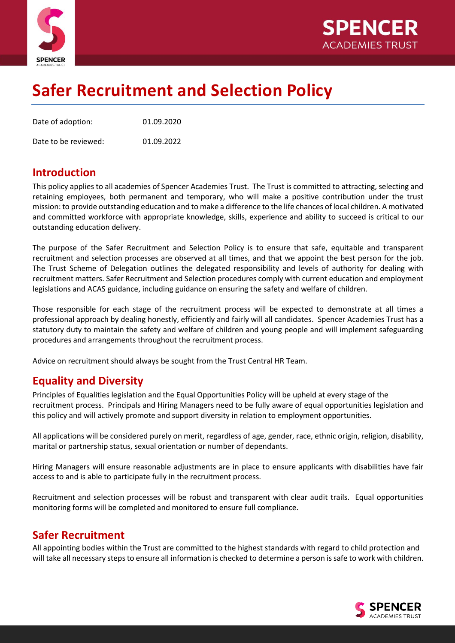



# **Safer Recruitment and Selection Policy**

| Date of adoption:    | 01.09.2020 |
|----------------------|------------|
| Date to be reviewed: | 01.09.2022 |

## **Introduction**

This policy applies to all academies of Spencer Academies Trust. The Trust is committed to attracting, selecting and retaining employees, both permanent and temporary, who will make a positive contribution under the trust mission: to provide outstanding education and to make a difference to the life chances of local children. A motivated and committed workforce with appropriate knowledge, skills, experience and ability to succeed is critical to our outstanding education delivery.

The purpose of the Safer Recruitment and Selection Policy is to ensure that safe, equitable and transparent recruitment and selection processes are observed at all times, and that we appoint the best person for the job. The Trust Scheme of Delegation outlines the delegated responsibility and levels of authority for dealing with recruitment matters. Safer Recruitment and Selection procedures comply with current education and employment legislations and ACAS guidance, including guidance on ensuring the safety and welfare of children.

Those responsible for each stage of the recruitment process will be expected to demonstrate at all times a professional approach by dealing honestly, efficiently and fairly will all candidates. Spencer Academies Trust has a statutory duty to maintain the safety and welfare of children and young people and will implement safeguarding procedures and arrangements throughout the recruitment process.

Advice on recruitment should always be sought from the Trust Central HR Team.

# **Equality and Diversity**

Principles of Equalities legislation and the Equal Opportunities Policy will be upheld at every stage of the recruitment process. Principals and Hiring Managers need to be fully aware of equal opportunities legislation and this policy and will actively promote and support diversity in relation to employment opportunities.

All applications will be considered purely on merit, regardless of age, gender, race, ethnic origin, religion, disability, marital or partnership status, sexual orientation or number of dependants.

Hiring Managers will ensure reasonable adjustments are in place to ensure applicants with disabilities have fair access to and is able to participate fully in the recruitment process.

Recruitment and selection processes will be robust and transparent with clear audit trails. Equal opportunities monitoring forms will be completed and monitored to ensure full compliance.

# **Safer Recruitment**

All appointing bodies within the Trust are committed to the highest standards with regard to child protection and will take all necessary steps to ensure all information is checked to determine a person is safe to work with children.

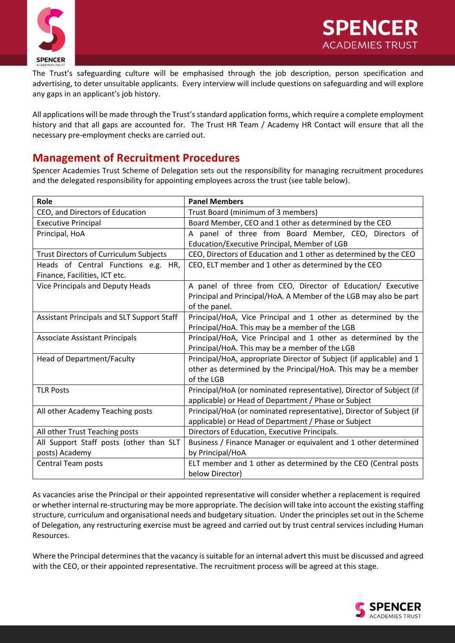



The Trust's safeguarding culture will be emphasised through the job description, person specification and advertising, to deter unsuitable applicants. Every interview will include questions on safeguarding and will explore any gaps in an applicant's job history.

All applications will be made through the Trust's standard application forms, which require a complete employment history and that all gaps are accounted for. The Trust HR Team / Academy HR Contact will ensure that all the necessary pre-employment checks are carried out.

## **Management of Recruitment Procedures**

Spencer Academies Trust Scheme of Delegation sets out the responsibility for managing recruitment procedures and the delegated responsibility for appointing employees across the trust (see table below).

| Role                                              | <b>Panel Members</b>                                                 |  |
|---------------------------------------------------|----------------------------------------------------------------------|--|
| CEO, and Directors of Education                   | Trust Board (minimum of 3 members)                                   |  |
| <b>Executive Principal</b>                        | Board Member, CEO and 1 other as determined by the CEO               |  |
| Principal, HoA                                    | A panel of three from Board Member, CEO, Directors of                |  |
|                                                   | Education/Executive Principal, Member of LGB                         |  |
| Trust Directors of Curriculum Subjects            | CEO, Directors of Education and 1 other as determined by the CEO     |  |
| Heads of Central Functions e.g. HR,               | CEO, ELT member and 1 other as determined by the CEO                 |  |
| Finance, Facilities, ICT etc.                     |                                                                      |  |
| Vice Principals and Deputy Heads                  | A panel of three from CEO, Director of Education/ Executive          |  |
|                                                   | Principal and Principal/HoA. A Member of the LGB may also be part    |  |
|                                                   | of the panel.                                                        |  |
| <b>Assistant Principals and SLT Support Staff</b> | Principal/HoA, Vice Principal and 1 other as determined by the       |  |
|                                                   | Principal/HoA. This may be a member of the LGB                       |  |
| <b>Associate Assistant Principals</b>             | Principal/HoA, Vice Principal and 1 other as determined by the       |  |
|                                                   | Principal/HoA. This may be a member of the LGB                       |  |
| Head of Department/Faculty                        | Principal/HoA, appropriate Director of Subject (if applicable) and 1 |  |
|                                                   | other as determined by the Principal/HoA. This may be a member       |  |
|                                                   | of the LGB                                                           |  |
| <b>TLR Posts</b>                                  | Principal/HoA (or nominated representative), Director of Subject (if |  |
|                                                   | applicable) or Head of Department / Phase or Subject                 |  |
| All other Academy Teaching posts                  | Principal/HoA (or nominated representative), Director of Subject (if |  |
|                                                   | applicable) or Head of Department / Phase or Subject                 |  |
| All other Trust Teaching posts                    | Directors of Education, Executive Principals.                        |  |
| All Support Staff posts (other than SLT           | Business / Finance Manager or equivalent and 1 other determined      |  |
| posts) Academy                                    | by Principal/HoA                                                     |  |
| <b>Central Team posts</b>                         | ELT member and 1 other as determined by the CEO (Central posts       |  |
|                                                   | below Director)                                                      |  |

As vacancies arise the Principal or their appointed representative will consider whether a replacement is required or whether internal re-structuring may be more appropriate. The decision will take into account the existing staffing structure, curriculum and organisational needs and budgetary situation. Under the principles set out in the Scheme of Delegation, any restructuring exercise must be agreed and carried out by trust central services including Human Resources.

Where the Principal determines that the vacancy is suitable for an internal advert this must be discussed and agreed with the CEO, or their appointed representative. The recruitment process will be agreed at this stage.

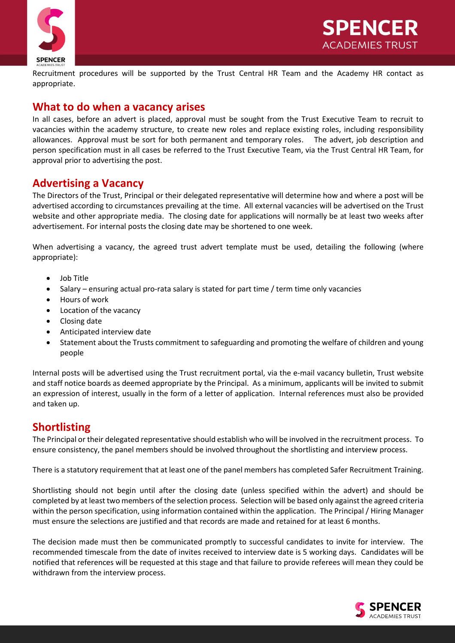



Recruitment procedures will be supported by the Trust Central HR Team and the Academy HR contact as appropriate.

#### **What to do when a vacancy arises**

In all cases, before an advert is placed, approval must be sought from the Trust Executive Team to recruit to vacancies within the academy structure, to create new roles and replace existing roles, including responsibility allowances. Approval must be sort for both permanent and temporary roles. The advert, job description and person specification must in all cases be referred to the Trust Executive Team, via the Trust Central HR Team, for approval prior to advertising the post.

#### **Advertising a Vacancy**

The Directors of the Trust, Principal or their delegated representative will determine how and where a post will be advertised according to circumstances prevailing at the time. All external vacancies will be advertised on the Trust website and other appropriate media. The closing date for applications will normally be at least two weeks after advertisement. For internal posts the closing date may be shortened to one week.

When advertising a vacancy, the agreed trust advert template must be used, detailing the following (where appropriate):

- Job Title
- Salary ensuring actual pro-rata salary is stated for part time / term time only vacancies
- Hours of work
- Location of the vacancy
- Closing date
- Anticipated interview date
- Statement about the Trusts commitment to safeguarding and promoting the welfare of children and young people

Internal posts will be advertised using the Trust recruitment portal, via the e-mail vacancy bulletin, Trust website and staff notice boards as deemed appropriate by the Principal. As a minimum, applicants will be invited to submit an expression of interest, usually in the form of a letter of application. Internal references must also be provided and taken up.

#### **Shortlisting**

The Principal or their delegated representative should establish who will be involved in the recruitment process. To ensure consistency, the panel members should be involved throughout the shortlisting and interview process.

There is a statutory requirement that at least one of the panel members has completed Safer Recruitment Training.

Shortlisting should not begin until after the closing date (unless specified within the advert) and should be completed by at least two members of the selection process. Selection will be based only against the agreed criteria within the person specification, using information contained within the application. The Principal / Hiring Manager must ensure the selections are justified and that records are made and retained for at least 6 months.

The decision made must then be communicated promptly to successful candidates to invite for interview. The recommended timescale from the date of invites received to interview date is 5 working days. Candidates will be notified that references will be requested at this stage and that failure to provide referees will mean they could be withdrawn from the interview process.

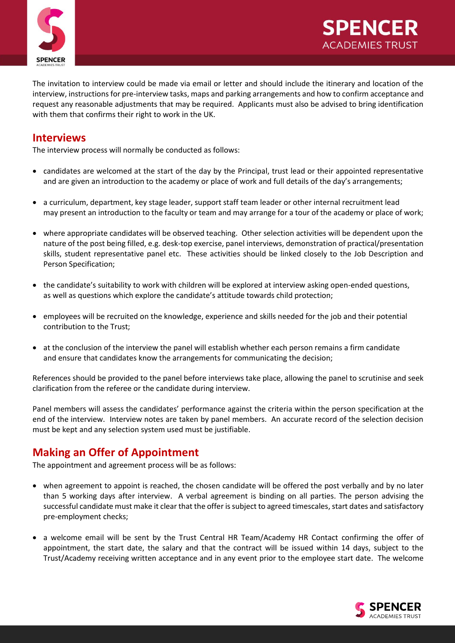

The invitation to interview could be made via email or letter and should include the itinerary and location of the interview, instructions for pre-interview tasks, maps and parking arrangements and how to confirm acceptance and request any reasonable adjustments that may be required. Applicants must also be advised to bring identification with them that confirms their right to work in the UK.

#### **Interviews**

The interview process will normally be conducted as follows:

- candidates are welcomed at the start of the day by the Principal, trust lead or their appointed representative and are given an introduction to the academy or place of work and full details of the day's arrangements;
- a curriculum, department, key stage leader, support staff team leader or other internal recruitment lead may present an introduction to the faculty or team and may arrange for a tour of the academy or place of work;
- where appropriate candidates will be observed teaching. Other selection activities will be dependent upon the nature of the post being filled, e.g. desk-top exercise, panel interviews, demonstration of practical/presentation skills, student representative panel etc. These activities should be linked closely to the Job Description and Person Specification;
- the candidate's suitability to work with children will be explored at interview asking open-ended questions, as well as questions which explore the candidate's attitude towards child protection;
- employees will be recruited on the knowledge, experience and skills needed for the job and their potential contribution to the Trust;
- at the conclusion of the interview the panel will establish whether each person remains a firm candidate and ensure that candidates know the arrangements for communicating the decision;

References should be provided to the panel before interviews take place, allowing the panel to scrutinise and seek clarification from the referee or the candidate during interview.

Panel members will assess the candidates' performance against the criteria within the person specification at the end of the interview. Interview notes are taken by panel members. An accurate record of the selection decision must be kept and any selection system used must be justifiable.

# **Making an Offer of Appointment**

The appointment and agreement process will be as follows:

- when agreement to appoint is reached, the chosen candidate will be offered the post verbally and by no later than 5 working days after interview. A verbal agreement is binding on all parties. The person advising the successful candidate must make it clear that the offer is subject to agreed timescales, start dates and satisfactory pre-employment checks;
- a welcome email will be sent by the Trust Central HR Team/Academy HR Contact confirming the offer of appointment, the start date, the salary and that the contract will be issued within 14 days, subject to the Trust/Academy receiving written acceptance and in any event prior to the employee start date. The welcome

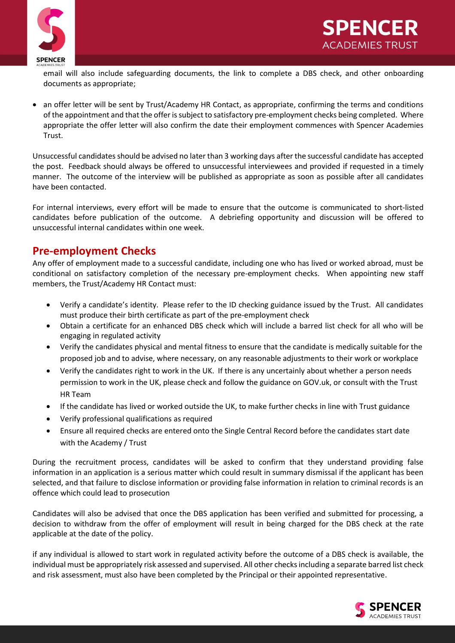



email will also include safeguarding documents, the link to complete a DBS check, and other onboarding documents as appropriate;

• an offer letter will be sent by Trust/Academy HR Contact, as appropriate, confirming the terms and conditions of the appointment and that the offer is subject to satisfactory pre-employment checks being completed. Where appropriate the offer letter will also confirm the date their employment commences with Spencer Academies Trust.

Unsuccessful candidates should be advised no later than 3 working days after the successful candidate has accepted the post. Feedback should always be offered to unsuccessful interviewees and provided if requested in a timely manner. The outcome of the interview will be published as appropriate as soon as possible after all candidates have been contacted.

For internal interviews, every effort will be made to ensure that the outcome is communicated to short-listed candidates before publication of the outcome. A debriefing opportunity and discussion will be offered to unsuccessful internal candidates within one week.

## **Pre-employment Checks**

Any offer of employment made to a successful candidate, including one who has lived or worked abroad, must be conditional on satisfactory completion of the necessary pre-employment checks. When appointing new staff members, the Trust/Academy HR Contact must:

- Verify a candidate's identity. Please refer to the ID checking guidance issued by the Trust. All candidates must produce their birth certificate as part of the pre-employment check
- Obtain a certificate for an enhanced DBS check which will include a barred list check for all who will be engaging in regulated activity
- Verify the candidates physical and mental fitness to ensure that the candidate is medically suitable for the proposed job and to advise, where necessary, on any reasonable adjustments to their work or workplace
- Verify the candidates right to work in the UK. If there is any uncertainly about whether a person needs permission to work in the UK, please check and follow the guidance on GOV.uk, or consult with the Trust HR Team
- If the candidate has lived or worked outside the UK, to make further checks in line with Trust guidance
- Verify professional qualifications as required
- Ensure all required checks are entered onto the Single Central Record before the candidates start date with the Academy / Trust

During the recruitment process, candidates will be asked to confirm that they understand providing false information in an application is a serious matter which could result in summary dismissal if the applicant has been selected, and that failure to disclose information or providing false information in relation to criminal records is an offence which could lead to prosecution

Candidates will also be advised that once the DBS application has been verified and submitted for processing, a decision to withdraw from the offer of employment will result in being charged for the DBS check at the rate applicable at the date of the policy.

if any individual is allowed to start work in regulated activity before the outcome of a DBS check is available, the individual must be appropriately risk assessed and supervised. All other checks including a separate barred list check and risk assessment, must also have been completed by the Principal or their appointed representative.

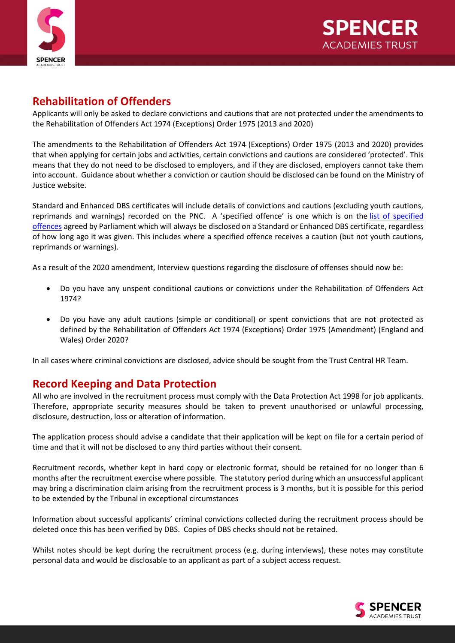

# **Rehabilitation of Offenders**

Applicants will only be asked to declare convictions and cautions that are not protected under the amendments to the Rehabilitation of Offenders Act 1974 (Exceptions) Order 1975 (2013 and 2020)

The amendments to the Rehabilitation of Offenders Act 1974 (Exceptions) Order 1975 (2013 and 2020) provides that when applying for certain jobs and activities, certain convictions and cautions are considered 'protected'. This means that they do not need to be disclosed to employers, and if they are disclosed, employers cannot take them into account. Guidance about whether a conviction or caution should be disclosed can be found on the Ministry of Justice website.

Standard and Enhanced DBS certificates will include details of convictions and cautions (excluding youth cautions, reprimands and warnings) recorded on the PNC. A 'specified offence' is one which is on the [list of specified](https://www.gov.uk/government/publications/dbs-list-of-offences-that-will-never-be-filtered-from-a-criminal-record-check)  [offences](https://www.gov.uk/government/publications/dbs-list-of-offences-that-will-never-be-filtered-from-a-criminal-record-check) agreed by Parliament which will always be disclosed on a Standard or Enhanced DBS certificate, regardless of how long ago it was given. This includes where a specified offence receives a caution (but not youth cautions, reprimands or warnings).

As a result of the 2020 amendment, Interview questions regarding the disclosure of offenses should now be:

- Do you have any unspent conditional cautions or convictions under the Rehabilitation of Offenders Act 1974?
- Do you have any adult cautions (simple or conditional) or spent convictions that are not protected as defined by the Rehabilitation of Offenders Act 1974 (Exceptions) Order 1975 (Amendment) (England and Wales) Order 2020?

In all cases where criminal convictions are disclosed, advice should be sought from the Trust Central HR Team.

# **Record Keeping and Data Protection**

All who are involved in the recruitment process must comply with the Data Protection Act 1998 for job applicants. Therefore, appropriate security measures should be taken to prevent unauthorised or unlawful processing, disclosure, destruction, loss or alteration of information.

The application process should advise a candidate that their application will be kept on file for a certain period of time and that it will not be disclosed to any third parties without their consent.

Recruitment records, whether kept in hard copy or electronic format, should be retained for no longer than 6 months after the recruitment exercise where possible. The statutory period during which an unsuccessful applicant may bring a discrimination claim arising from the recruitment process is 3 months, but it is possible for this period to be extended by the Tribunal in exceptional circumstances

Information about successful applicants' criminal convictions collected during the recruitment process should be deleted once this has been verified by DBS. Copies of DBS checks should not be retained.

Whilst notes should be kept during the recruitment process (e.g. during interviews), these notes may constitute personal data and would be disclosable to an applicant as part of a subject access request.